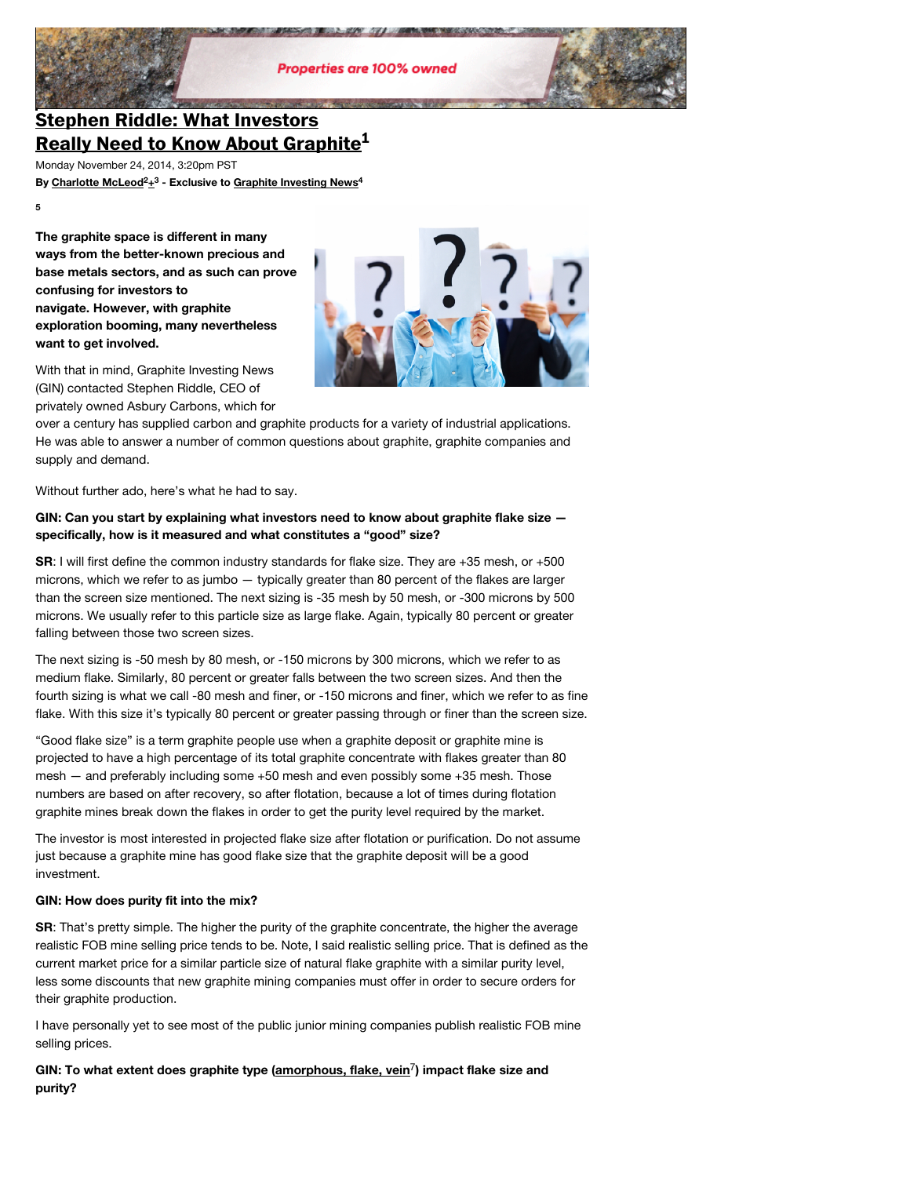

# **Stephen Riddle: What Investors [Really Need to Know About Graphite](http://graphiteinvestingnews.com/9035-asbury-carbons-stephen-riddle-graphite-china-tesla/) 1**

Monday November 24, 2014, 3:20pm PST

**By [Charlotte McLeod](http://graphiteinvestingnews.com/author/cmcleod/) [+](https://plus.google.com/u/0/110527547008095216401) - Exclusive to [Graphite Investing News](http://graphiteinvestingnews.com/) 2 3 4**

**5**

**The graphite space is different in many ways from the better-known precious and base metals sectors, and as such can prove confusing for investors to navigate. However, with graphite exploration booming, many nevertheless want to get involved.**



With that in mind, Graphite Investing News (GIN) contacted Stephen Riddle, CEO of privately owned Asbury Carbons, which for

over a century has supplied carbon and graphite products for a variety of industrial applications. He was able to answer a number of common questions about graphite, graphite companies and supply and demand.

Without further ado, here's what he had to say.

## **GIN: Can you start by explaining what investors need to know about graphite flake size specifically, how is it measured and what constitutes a "good" size?**

**SR**: I will first define the common industry standards for flake size. They are +35 mesh, or +500 microns, which we refer to as jumbo — typically greater than 80 percent of the flakes are larger than the screen size mentioned. The next sizing is -35 mesh by 50 mesh, or -300 microns by 500 microns. We usually refer to this particle size as large flake. Again, typically 80 percent or greater falling between those two screen sizes.

The next sizing is -50 mesh by 80 mesh, or -150 microns by 300 microns, which we refer to as medium flake. Similarly, 80 percent or greater falls between the two screen sizes. And then the fourth sizing is what we call -80 mesh and finer, or -150 microns and finer, which we refer to as fine flake. With this size it's typically 80 percent or greater passing through or finer than the screen size.

"Good flake size" is a term graphite people use when a graphite deposit or graphite mine is projected to have a high percentage of its total graphite concentrate with flakes greater than 80 mesh — and preferably including some +50 mesh and even possibly some +35 mesh. Those numbers are based on after recovery, so after flotation, because a lot of times during flotation graphite mines break down the flakes in order to get the purity level required by the market.

The investor is most interested in projected flake size after flotation or purification. Do not assume just because a graphite mine has good flake size that the graphite deposit will be a good investment.

#### **GIN: How does purity fit into the mix?**

**SR**: That's pretty simple. The higher the purity of the graphite concentrate, the higher the average realistic FOB mine selling price tends to be. Note, I said realistic selling price. That is defined as the current market price for a similar particle size of natural flake graphite with a similar purity level, less some discounts that new graphite mining companies must offer in order to secure orders for their graphite production.

I have personally yet to see most of the public junior mining companies publish realistic FOB mine selling prices.

**GIN: To what extent does graphite type [\(amorphous, flake, vein](http://graphiteinvestingnews.com/1337-types-graphite-amorphous-flake-lump-vein-energizer-focus-northern-syrah-northern/) ) impact flake size and** 7**purity?**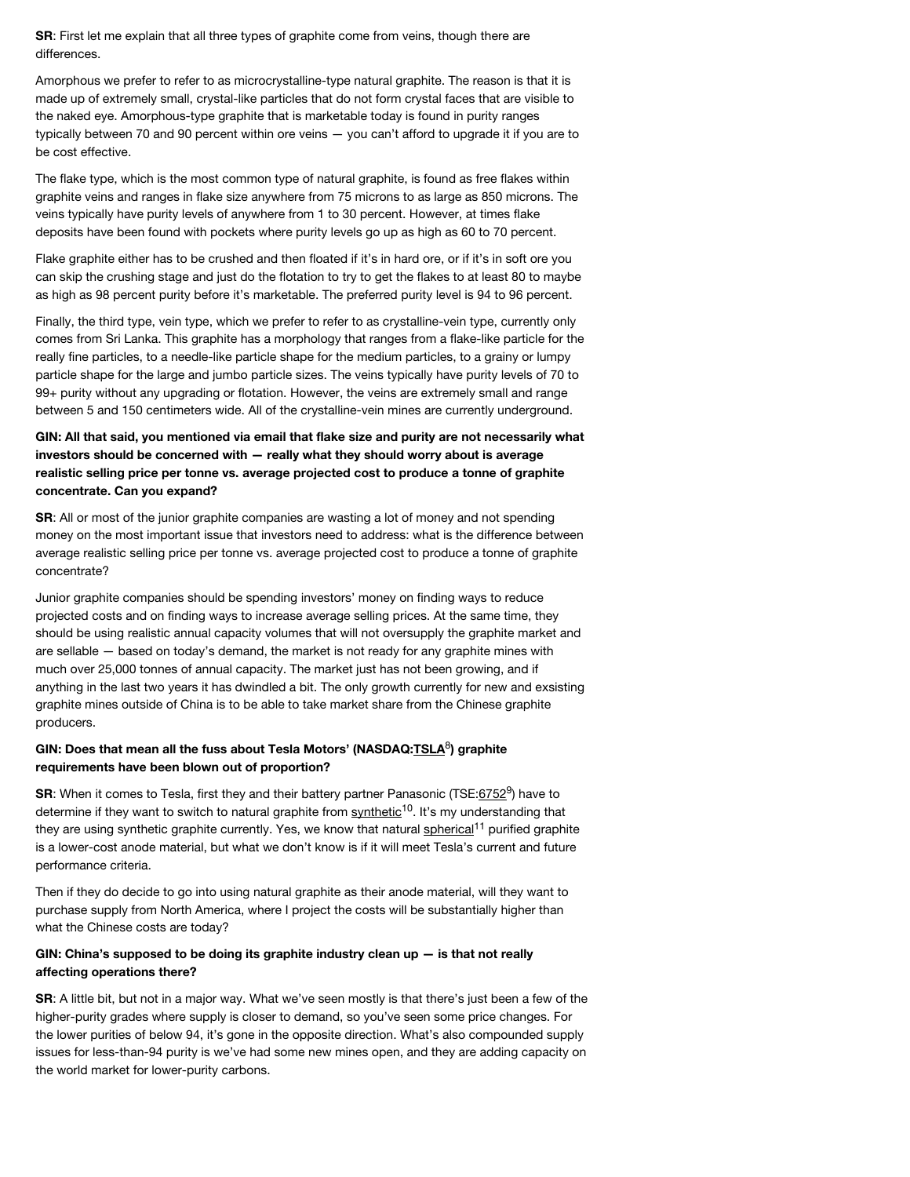**SR**: First let me explain that all three types of graphite come from veins, though there are differences.

Amorphous we prefer to refer to as microcrystalline-type natural graphite. The reason is that it is made up of extremely small, crystal-like particles that do not form crystal faces that are visible to the naked eye. Amorphous-type graphite that is marketable today is found in purity ranges typically between 70 and 90 percent within ore veins — you can't afford to upgrade it if you are to be cost effective.

The flake type, which is the most common type of natural graphite, is found as free flakes within graphite veins and ranges in flake size anywhere from 75 microns to as large as 850 microns. The veins typically have purity levels of anywhere from 1 to 30 percent. However, at times flake deposits have been found with pockets where purity levels go up as high as 60 to 70 percent.

Flake graphite either has to be crushed and then floated if it's in hard ore, or if it's in soft ore you can skip the crushing stage and just do the flotation to try to get the flakes to at least 80 to maybe as high as 98 percent purity before it's marketable. The preferred purity level is 94 to 96 percent.

Finally, the third type, vein type, which we prefer to refer to as crystalline-vein type, currently only comes from Sri Lanka. This graphite has a morphology that ranges from a flake-like particle for the really fine particles, to a needle-like particle shape for the medium particles, to a grainy or lumpy particle shape for the large and jumbo particle sizes. The veins typically have purity levels of 70 to 99+ purity without any upgrading or flotation. However, the veins are extremely small and range between 5 and 150 centimeters wide. All of the crystalline-vein mines are currently underground.

## **GIN: All that said, you mentioned via email that flake size and purity are not necessarily what investors should be concerned with — really what they should worry about is average realistic selling price per tonne vs. average projected cost to produce a tonne of graphite concentrate. Can you expand?**

**SR:** All or most of the junior graphite companies are wasting a lot of money and not spending money on the most important issue that investors need to address: what is the difference between average realistic selling price per tonne vs. average projected cost to produce a tonne of graphite concentrate?

Junior graphite companies should be spending investors' money on finding ways to reduce projected costs and on finding ways to increase average selling prices. At the same time, they should be using realistic annual capacity volumes that will not oversupply the graphite market and are sellable — based on today's demand, the market is not ready for any graphite mines with much over 25,000 tonnes of annual capacity. The market just has not been growing, and if anything in the last two years it has dwindled a bit. The only growth currently for new and exsisting graphite mines outside of China is to be able to take market share from the Chinese graphite producers.

## GIN: Does that mean all the fuss about Tesla Motors' (NASDAQ:<u>TSLA</u><sup>8</sup>) graphite **requirements have been blown out of proportion?**

SR: When it comes to Tesla, first they and their battery partner Panasonic (TSE: 6752<sup>9</sup>) have to determine if they want to switch to natural graphite from **synthetic<sup>10</sup>.** It's my understanding that they are using synthetic graphite currently. Yes, we know that natural **spherical<sup>11</sup>** purified graphite is a lower-cost anode material, but what we don't know is if it will meet Tesla's current and future performance criteria.

Then if they do decide to go into using natural graphite as their anode material, will they want to purchase supply from North America, where I project the costs will be substantially higher than what the Chinese costs are today?

## **GIN: China's supposed to be doing its graphite industry clean up — is that not really affecting operations there?**

**SR**: A little bit, but not in a major way. What we've seen mostly is that there's just been a few of the higher-purity grades where supply is closer to demand, so you've seen some price changes. For the lower purities of below 94, it's gone in the opposite direction. What's also compounded supply issues for less-than-94 purity is we've had some new mines open, and they are adding capacity on the world market for lower-purity carbons.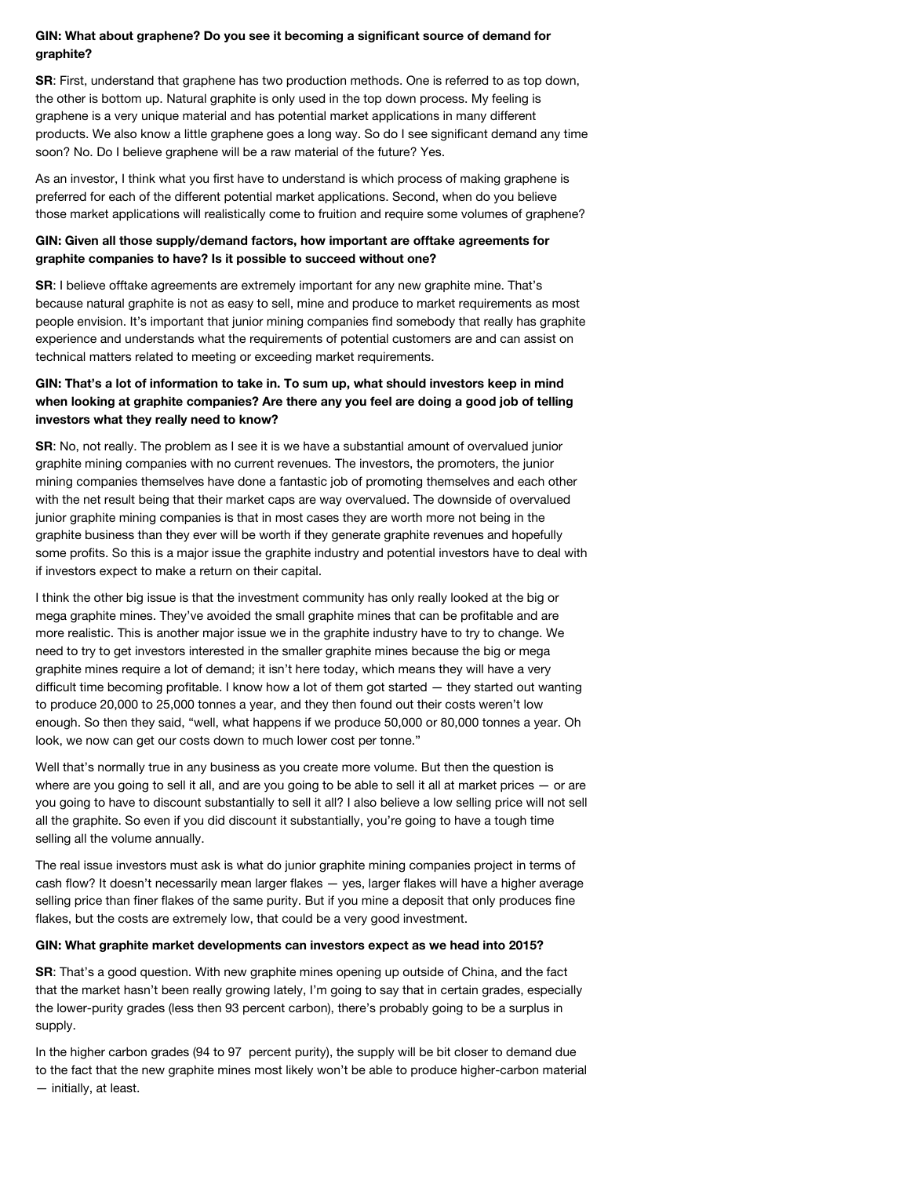#### **GIN: What about graphene? Do you see it becoming a significant source of demand for graphite?**

**SR**: First, understand that graphene has two production methods. One is referred to as top down, the other is bottom up. Natural graphite is only used in the top down process. My feeling is graphene is a very unique material and has potential market applications in many different products. We also know a little graphene goes a long way. So do I see significant demand any time soon? No. Do I believe graphene will be a raw material of the future? Yes.

As an investor, I think what you first have to understand is which process of making graphene is preferred for each of the different potential market applications. Second, when do you believe those market applications will realistically come to fruition and require some volumes of graphene?

## **GIN: Given all those supply/demand factors, how important are offtake agreements for graphite companies to have? Is it possible to succeed without one?**

**SR**: I believe offtake agreements are extremely important for any new graphite mine. That's because natural graphite is not as easy to sell, mine and produce to market requirements as most people envision. It's important that junior mining companies find somebody that really has graphite experience and understands what the requirements of potential customers are and can assist on technical matters related to meeting or exceeding market requirements.

## **GIN: That's a lot of information to take in. To sum up, what should investors keep in mind when looking at graphite companies? Are there any you feel are doing a good job of telling investors what they really need to know?**

**SR**: No, not really. The problem as I see it is we have a substantial amount of overvalued junior graphite mining companies with no current revenues. The investors, the promoters, the junior mining companies themselves have done a fantastic job of promoting themselves and each other with the net result being that their market caps are way overvalued. The downside of overvalued junior graphite mining companies is that in most cases they are worth more not being in the graphite business than they ever will be worth if they generate graphite revenues and hopefully some profits. So this is a major issue the graphite industry and potential investors have to deal with if investors expect to make a return on their capital.

I think the other big issue is that the investment community has only really looked at the big or mega graphite mines. They've avoided the small graphite mines that can be profitable and are more realistic. This is another major issue we in the graphite industry have to try to change. We need to try to get investors interested in the smaller graphite mines because the big or mega graphite mines require a lot of demand; it isn't here today, which means they will have a very difficult time becoming profitable. I know how a lot of them got started — they started out wanting to produce 20,000 to 25,000 tonnes a year, and they then found out their costs weren't low enough. So then they said, "well, what happens if we produce 50,000 or 80,000 tonnes a year. Oh look, we now can get our costs down to much lower cost per tonne."

Well that's normally true in any business as you create more volume. But then the question is where are you going to sell it all, and are you going to be able to sell it all at market prices – or are you going to have to discount substantially to sell it all? I also believe a low selling price will not sell all the graphite. So even if you did discount it substantially, you're going to have a tough time selling all the volume annually.

The real issue investors must ask is what do junior graphite mining companies project in terms of cash flow? It doesn't necessarily mean larger flakes — yes, larger flakes will have a higher average selling price than finer flakes of the same purity. But if you mine a deposit that only produces fine flakes, but the costs are extremely low, that could be a very good investment.

#### **GIN: What graphite market developments can investors expect as we head into 2015?**

**SR**: That's a good question. With new graphite mines opening up outside of China, and the fact that the market hasn't been really growing lately, I'm going to say that in certain grades, especially the lower-purity grades (less then 93 percent carbon), there's probably going to be a surplus in supply.

In the higher carbon grades (94 to 97 percent purity), the supply will be bit closer to demand due to the fact that the new graphite mines most likely won't be able to produce higher-carbon material — initially, at least.